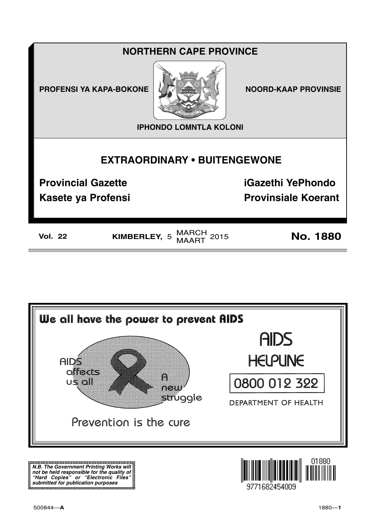## **NORTHERN CAPE PROVINCE**

**PROFENSI YA KAPA-BOKONE** 



**NOORD-KAAP PROVINSIE** 

**IPHONDO LOMNTLA KOLONI** 

# **EXTRAORDINARY . BUITENGEWONE**

**Provincial Gazette** 

**Kasete ya Profensi** 

**iGazethi YePhondo Provinsiale Koerant** 

KIMBERLEY, 5 MARCH 2015

**No. 1880** 



N.B. The Government Printing Works will iv.b. The Government Printing works will<br>not be held responsible for the quality of<br>"Hard" Copies" or "Electronic Files"<br>submitted for publication purposes

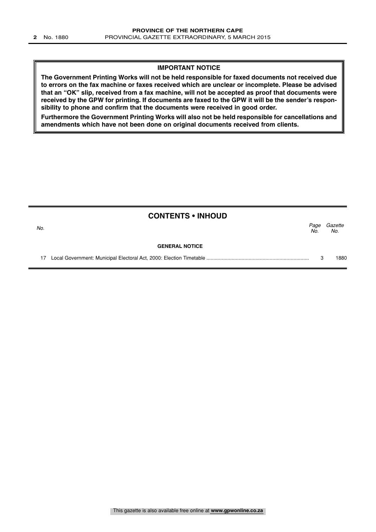#### **IMPORTANT NOTICE**

**The Government Printing Works will not be held responsible for faxed documents not received due to errors on the fax machine or faxes received which are unclear or incomplete. Please be advised that an "OK" slip, received from a fax machine, will not be accepted as proof that documents were received by the GPW for printing. If documents are faxed to the GPW it will be the sender's responsibility to phone and confirm that the documents were received in good order.**

**Furthermore the Government Printing Works will also not be held responsible for cancellations and amendments which have not been done on original documents received from clients.**

|     | <b>CONTENTS • INHOUD</b> |             |                |
|-----|--------------------------|-------------|----------------|
| No. |                          | Page<br>No. | Gazette<br>No. |
|     | <b>GENERAL NOTICE</b>    |             |                |
| 17  |                          |             | 1880           |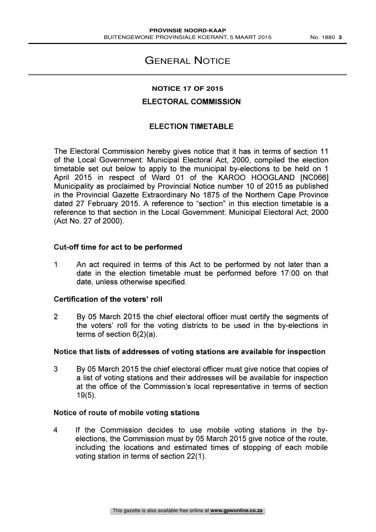## GENERAL NOTICE

## **NOTICE 17 OF 2015**

## ELECTORAL COMMISSION

## ELECTION TIMETABLE

The Electoral Commission hereby gives notice that it has in terms of section 11 of the Local Government: Municipal Electoral Act, 2000, compiled the election timetable set out below to apply to the municipal by-elections to be held on 1 April 2015 in respect of Ward 01 of the KAROO HOOGLAND [NC066] Municipality as proclaimed by Provincial Notice number 10 of 2015 as published in the Provincial Gazette Extraordinary No 1875 of the Northern Cape Province dated 27 February 2015. A reference to "section" in this election timetable is a reference to that section in the Local Government: Municipal Electoral Act, 2000 (Act No. 27 of 2000).

## Cut-off time for act to be performed

<sup>1</sup> An act required in terms of this Act to be performed by not later than a date in the election timetable must be performed before 17:00 on that date, unless otherwise specified.

#### Certification of the voters' roll

2 By 05 March 2015 the chief electoral officer must certify the segments of the voters' roll for the voting districts to be used in the by-elections in terms of section 6(2)(a).

## Notice that lists of addresses of voting stations are available for inspection

3 By 05 March 2015 the chief electoral officer must give notice that copies of a list of voting stations and their addresses will be available for inspection at the office of the Commission's local representative in terms of section 19(5).

#### Notice of route of mobile voting stations

4 If the Commission decides to use mobile voting stations in the byelections, the Commission must by 05 March 2015 give notice of the route, including the locations and estimated times of stopping of each mobile voting station in terms of section 22(1).